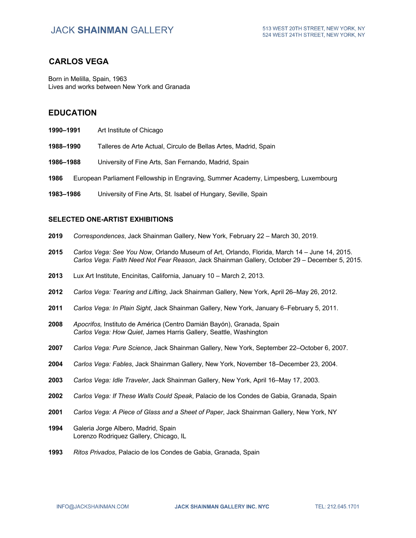### **CARLOS VEGA**

Born in Melilla, Spain, 1963 Lives and works between New York and Granada

### **EDUCATION**

- **1990–1991** Art Institute of Chicago
- **1988–1990** Talleres de Arte Actual, Circulo de Bellas Artes, Madrid, Spain
- **1986–1988** University of Fine Arts, San Fernando, Madrid, Spain
- **1986** European Parliament Fellowship in Engraving, Summer Academy, Limpesberg, Luxembourg
- **1983–1986** University of Fine Arts, St. Isabel of Hungary, Seville, Spain

#### **SELECTED ONE-ARTIST EXHIBITIONS**

- **2019** *Correspondences*, Jack Shainman Gallery, New York, February 22 March 30, 2019.
- **2015** *Carlos Vega: See You Now*, Orlando Museum of Art, Orlando, Florida, March 14 June 14, 2015. *Carlos Vega: Faith Need Not Fear Reason*, Jack Shainman Gallery, October 29 – December 5, 2015.
- **2013** Lux Art Institute, Encinitas, California, January 10 March 2, 2013.
- **2012** *Carlos Vega: Tearing and Lifting*, Jack Shainman Gallery, New York, April 26–May 26, 2012.
- **2011** *Carlos Vega: In Plain Sight*, Jack Shainman Gallery, New York, January 6–February 5, 2011.
- **2008** *Apocrifos,* Instituto de América (Centro Damián Bayón), Granada, Spain *Carlos Vega: How Quiet*, James Harris Gallery, Seattle, Washington
- **2007** *Carlos Vega: Pure Science*, Jack Shainman Gallery, New York, September 22–October 6, 2007.
- **2004** *Carlos Vega: Fables*, Jack Shainman Gallery, New York, November 18–December 23, 2004.
- **2003** *Carlos Vega: Idle Traveler*, Jack Shainman Gallery, New York, April 16–May 17, 2003.
- **2002** *Carlos Vega: If These Walls Could Speak*, Palacio de los Condes de Gabia, Granada, Spain
- **2001** *Carlos Vega: A Piece of Glass and a Sheet of Paper*, Jack Shainman Gallery, New York, NY
- **1994** Galeria Jorge Albero, Madrid, Spain Lorenzo Rodriquez Gallery, Chicago, IL
- **1993** *Ritos Privados*, Palacio de los Condes de Gabia, Granada, Spain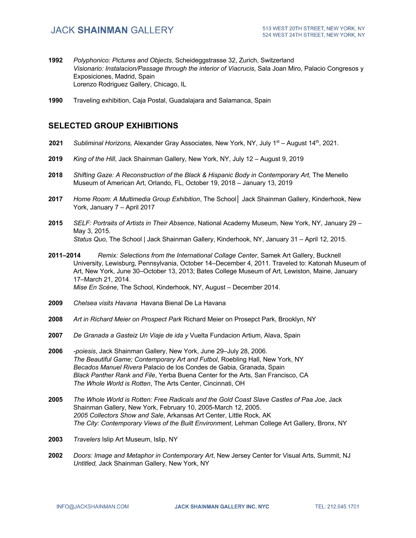- **1992** *Polyphonico: Pictures and Objects*, Scheideggstrasse 32, Zurich, Switzerland *Visionario: Instalacion/Passage through the interior of Viacrucis*, Sala Joan Miro, Palacio Congresos y Exposiciones, Madrid, Spain Lorenzo Rodriguez Gallery, Chicago, IL
- **1990** Traveling exhibition, Caja Postal, Guadalajara and Salamanca, Spain

### **SELECTED GROUP EXHIBITIONS**

- **2021** *Subliminal Horizons,* Alexander Gray Associates, New York, NY, July 1st August 14th, 2021.
- **2019** *King of the Hill*, Jack Shainman Gallery, New York, NY, July 12 August 9, 2019
- **2018** *Shifting Gaze: A Reconstruction of the Black & Hispanic Body in Contemporary Art,* The Menello Museum of American Art, Orlando, FL, October 19, 2018 – January 13, 2019
- **2017** *Home Room*: *A Multimedia Group Exhibition*, The School│ Jack Shainman Gallery, Kinderhook, New York, January 7 – April 2017
- **2015** *SELF: Portraits of Artists in Their Absence*, National Academy Museum, New York, NY, January 29 May 3, 2015. *Status Quo*, The School | Jack Shainman Gallery, Kinderhook, NY, January 31 – April 12, 2015.
- **2011–2014** *Remix: Selections from the International Collage Center*, Samek Art Gallery, Bucknell University, Lewisburg, Pennsylvania, October 14–December 4, 2011. Traveled to: Katonah Museum of Art, New York, June 30–October 13, 2013; Bates College Museum of Art, Lewiston, Maine, January 17–March 21, 2014. *Mise En Scène*, The School, Kinderhook, NY, August – December 2014.
- **2009** *Chelsea visits Havana* Havana Bienal De La Havana
- **2008** *Art in Richard Meier on Prospect Park* Richard Meier on Prosepct Park, Brooklyn, NY
- **2007** *De Granada a Gasteiz Un Viaje de ida y* Vuelta Fundacion Artium, Alava, Spain
- **2006** *-poiesis*, Jack Shainman Gallery, New York, June 29–July 28, 2006. *The Beautiful Game; Contemporary Art and Futbol*, Roebling Hall, New York, NY *Becados Manuel Rivera* Palacio de los Condes de Gabia, Granada, Spain *Black Panther Rank and File*, Yerba Buena Center for the Arts, San Francisco, CA *The Whole World is Rotten*, The Arts Center, Cincinnati, OH
- **2005** *The Whole World is Rotten: Free Radicals and the Gold Coast Slave Castles of Paa Joe*, Jack Shainman Gallery, New York, February 10, 2005-March 12, 2005. *2005 Collectors Show and Sale*, Arkansas Art Center, Little Rock, AK *The City: Contemporary Views of the Built Environment*, Lehman College Art Gallery, Bronx, NY
- **2003** *Travelers* Islip Art Museum, Islip, NY
- **2002** *Doors: Image and Metaphor in Contemporary Art*, New Jersey Center for Visual Arts, Summit, NJ *Untitled,* Jack Shainman Gallery, New York, NY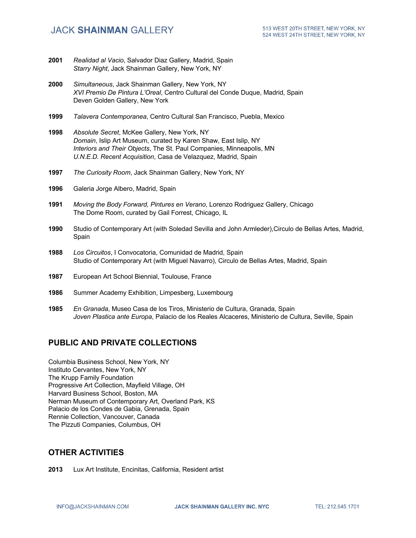## **JACK SHAINMAN GALLERY**

- **2001** *Realidad al Vacio*, Salvador Diaz Gallery, Madrid, Spain *Starry Night*, Jack Shainman Gallery, New York, NY
- **2000** *Simultaneous*, Jack Shainman Gallery, New York, NY *XVI Premio De Pintura L'Oreal*, Centro Cultural del Conde Duque, Madrid, Spain Deven Golden Gallery, New York
- **1999** *Talavera Contemporanea*, Centro Cultural San Francisco, Puebla, Mexico
- **1998** *Absolute Secret*, McKee Gallery, New York, NY *Domain*, Islip Art Museum, curated by Karen Shaw, East Islip, NY *Interiors and Their Objects*, The St. Paul Companies, Minneapolis, MN *U.N.E.D. Recent Acquisition*, Casa de Velazquez, Madrid, Spain
- **1997** *The Curiosity Room*, Jack Shainman Gallery, New York, NY
- **1996** Galeria Jorge Albero, Madrid, Spain
- **1991** *Moving the Body Forward, Pintures en Verano*, Lorenzo Rodriguez Gallery, Chicago The Dome Room, curated by Gail Forrest, Chicago, IL
- **1990** Studio of Contemporary Art (with Soledad Sevilla and John Armleder),Circulo de Bellas Artes, Madrid, **Spain**
- **1988** *Los Circuitos*, I Convocatoria, Comunidad de Madrid, Spain Studio of Contemporary Art (with Miguel Navarro), Circulo de Bellas Artes, Madrid, Spain
- **1987** European Art School Biennial, Toulouse, France
- **1986** Summer Academy Exhibition, Limpesberg, Luxembourg
- **1985** *En Granada*, Museo Casa de los Tiros, Ministerio de Cultura, Granada, Spain *Joven Plastica ante Europa*, Palacio de los Reales Alcaceres, Ministerio de Cultura, Seville, Spain

### **PUBLIC AND PRIVATE COLLECTIONS**

Columbia Business School, New York, NY Instituto Cervantes, New York, NY The Krupp Family Foundation Progressive Art Collection, Mayfield Village, OH Harvard Business School, Boston, MA Nerman Museum of Contemporary Art, Overland Park, KS Palacio de los Condes de Gabia, Grenada, Spain Rennie Collection, Vancouver, Canada The Pizzuti Companies, Columbus, OH

### **OTHER ACTIVITIES**

**2013** Lux Art Institute, Encinitas, California, Resident artist